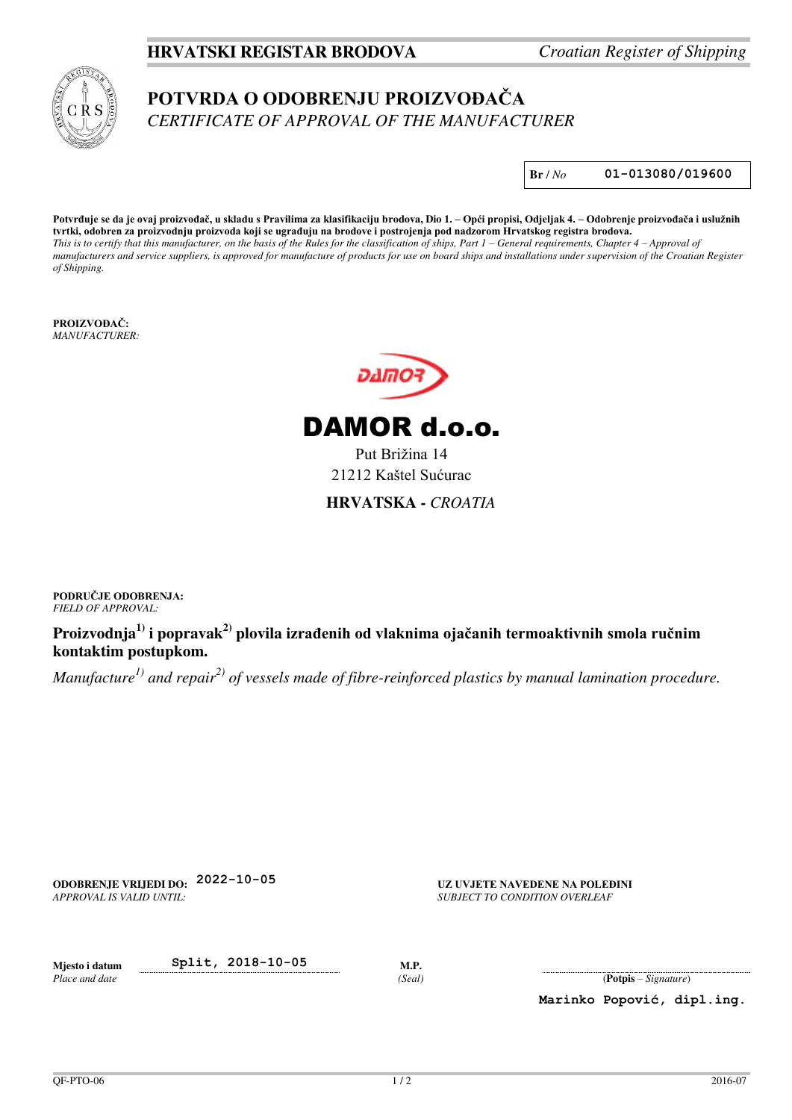## **HRVATSKI REGISTAR BRODOVA** *Croatian Register of Shipping*



## **POTVRDA O ODOBRENJU PROIZVOĐAČA** *CERTIFICATE OF APPROVAL OF THE MANUFACTURER*

**Br** / *No* **01-013080/019600**

**Potvrđuje se da je ovaj proizvođač, u skladu s Pravilima za klasifikaciju brodova, Dio 1. – Opći propisi, Odjeljak 4. – Odobrenje proizvođača i uslužnih tvrtki, odobren za proizvodnju proizvoda koji se ugrađuju na brodove i postrojenja pod nadzorom Hrvatskog registra brodova.** *This is to certify that this manufacturer, on the basis of the Rules for the classification of ships, Part 1 – General requirements, Chapter 4 – Approval of manufacturers and service suppliers, is approved for manufacture of products for use on board ships and installations under supervision of the Croatian Register of Shipping.*

**PROIZVOĐAČ:** *MANUFACTURER:* 



DAMOR d.o.o.

Put Brižina 14 21212 Kaštel Sućurac **HRVATSKA -** *CROATIA* 

**PODRUČJE ODOBRENJA:** *FIELD OF APPROVAL:* 

**Proizvodnja1) i popravak2) plovila izrađenih od vlaknima ojačanih termoaktivnih smola ručnim kontaktim postupkom.** 

*Manufacture1) and repair2) of vessels made of fibre-reinforced plastics by manual lamination procedure.*

**ODOBRENJE VRIJEDI DO: 2022-10-05 UZ UVJETE NAVEDENE NA POLEĐINI** *APPROVAL IS VALID UNTIL:* 

*SUBJECT TO CONDITION OVERLEAF* 

**Mjesto i datum Split, 2018-10-05 M.P.**  *Place and date* 

*(Seal)* (**Potpis** – *Signature*)

**Marinko Popović, dipl.ing.**